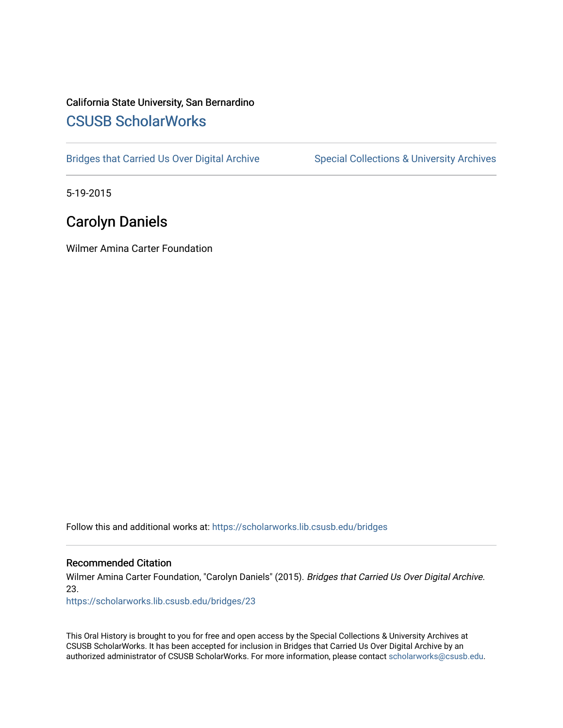# California State University, San Bernardino [CSUSB ScholarWorks](https://scholarworks.lib.csusb.edu/)

[Bridges that Carried Us Over Digital Archive](https://scholarworks.lib.csusb.edu/bridges) Special Collections & University Archives

5-19-2015

# Carolyn Daniels

Wilmer Amina Carter Foundation

Follow this and additional works at: [https://scholarworks.lib.csusb.edu/bridges](https://scholarworks.lib.csusb.edu/bridges?utm_source=scholarworks.lib.csusb.edu%2Fbridges%2F23&utm_medium=PDF&utm_campaign=PDFCoverPages) 

#### Recommended Citation

Wilmer Amina Carter Foundation, "Carolyn Daniels" (2015). Bridges that Carried Us Over Digital Archive. 23.

[https://scholarworks.lib.csusb.edu/bridges/23](https://scholarworks.lib.csusb.edu/bridges/23?utm_source=scholarworks.lib.csusb.edu%2Fbridges%2F23&utm_medium=PDF&utm_campaign=PDFCoverPages)

This Oral History is brought to you for free and open access by the Special Collections & University Archives at CSUSB ScholarWorks. It has been accepted for inclusion in Bridges that Carried Us Over Digital Archive by an authorized administrator of CSUSB ScholarWorks. For more information, please contact [scholarworks@csusb.edu.](mailto:scholarworks@csusb.edu)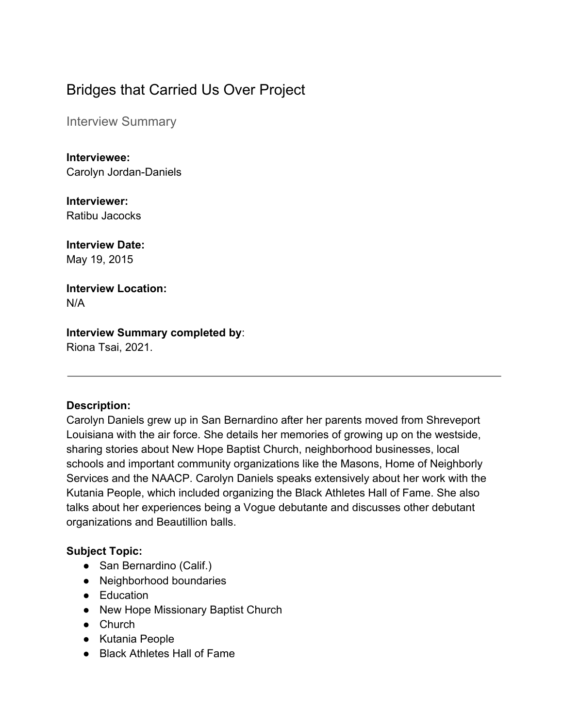# Bridges that Carried Us Over Project

Interview Summary

**Interviewee:** Carolyn Jordan-Daniels

**Interviewer:** Ratibu Jacocks

**Interview Date:** May 19, 2015

**Interview Location:** N/A

### **Interview Summary completed by**:

Riona Tsai, 2021.

### **Description:**

Carolyn Daniels grew up in San Bernardino after her parents moved from Shreveport Louisiana with the air force. She details her memories of growing up on the westside, sharing stories about New Hope Baptist Church, neighborhood businesses, local schools and important community organizations like the Masons, Home of Neighborly Services and the NAACP. Carolyn Daniels speaks extensively about her work with the Kutania People, which included organizing the Black Athletes Hall of Fame. She also talks about her experiences being a Vogue debutante and discusses other debutant organizations and Beautillion balls.

### **Subject Topic:**

- San Bernardino (Calif.)
- Neighborhood boundaries
- Education
- New Hope Missionary Baptist Church
- Church
- Kutania People
- Black Athletes Hall of Fame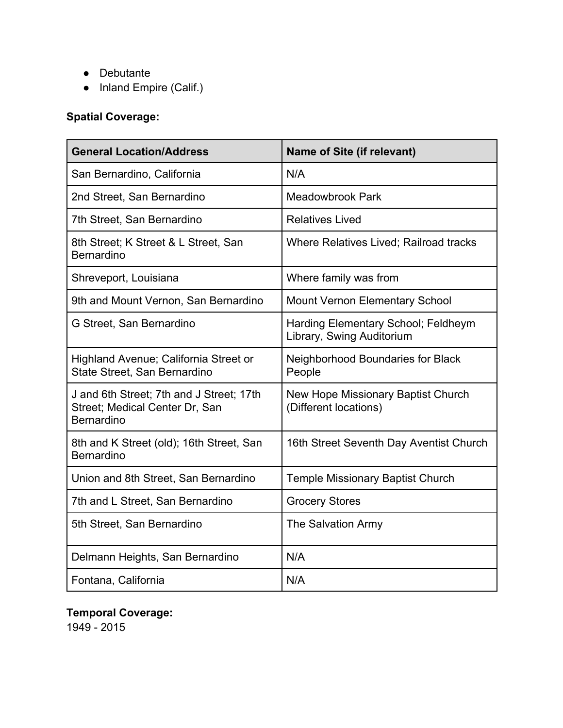- Debutante
- Inland Empire (Calif.)

# **Spatial Coverage:**

| <b>General Location/Address</b>                                                          | <b>Name of Site (if relevant)</b>                                |
|------------------------------------------------------------------------------------------|------------------------------------------------------------------|
| San Bernardino, California                                                               | N/A                                                              |
| 2nd Street, San Bernardino                                                               | <b>Meadowbrook Park</b>                                          |
| 7th Street, San Bernardino                                                               | <b>Relatives Lived</b>                                           |
| 8th Street; K Street & L Street, San<br><b>Bernardino</b>                                | <b>Where Relatives Lived; Railroad tracks</b>                    |
| Shreveport, Louisiana                                                                    | Where family was from                                            |
| 9th and Mount Vernon, San Bernardino                                                     | <b>Mount Vernon Elementary School</b>                            |
| G Street, San Bernardino                                                                 | Harding Elementary School; Feldheym<br>Library, Swing Auditorium |
| Highland Avenue; California Street or<br>State Street, San Bernardino                    | Neighborhood Boundaries for Black<br>People                      |
| J and 6th Street; 7th and J Street; 17th<br>Street; Medical Center Dr, San<br>Bernardino | New Hope Missionary Baptist Church<br>(Different locations)      |
| 8th and K Street (old); 16th Street, San<br><b>Bernardino</b>                            | 16th Street Seventh Day Aventist Church                          |
| Union and 8th Street, San Bernardino                                                     | <b>Temple Missionary Baptist Church</b>                          |
| 7th and L Street, San Bernardino                                                         | <b>Grocery Stores</b>                                            |
| 5th Street, San Bernardino                                                               | <b>The Salvation Army</b>                                        |
| Delmann Heights, San Bernardino                                                          | N/A                                                              |
| Fontana, California                                                                      | N/A                                                              |

## **Temporal Coverage:**

1949 - 2015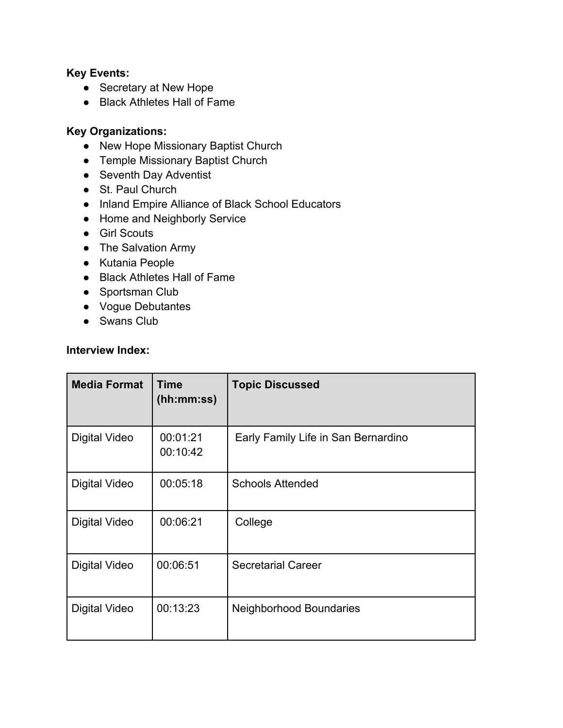### **Key Events:**

- Secretary at New Hope
- Black Athletes Hall of Fame

### **Key Organizations:**

- New Hope Missionary Baptist Church
- Temple Missionary Baptist Church
- Seventh Day Adventist
- St. Paul Church
- Inland Empire Alliance of Black School Educators
- Home and Neighborly Service
- Girl Scouts
- The Salvation Army
- Kutania People
- Black Athletes Hall of Fame
- Sportsman Club
- Vogue Debutantes
- Swans Club

#### **Interview Index:**

| <b>Media Format</b>  | <b>Time</b><br>(hh:mm:ss) | <b>Topic Discussed</b>              |
|----------------------|---------------------------|-------------------------------------|
| Digital Video        | 00:01:21<br>00:10:42      | Early Family Life in San Bernardino |
| Digital Video        | 00:05:18                  | <b>Schools Attended</b>             |
| <b>Digital Video</b> | 00:06:21                  | College                             |
| Digital Video        | 00:06:51                  | <b>Secretarial Career</b>           |
| Digital Video        | 00:13:23                  | <b>Neighborhood Boundaries</b>      |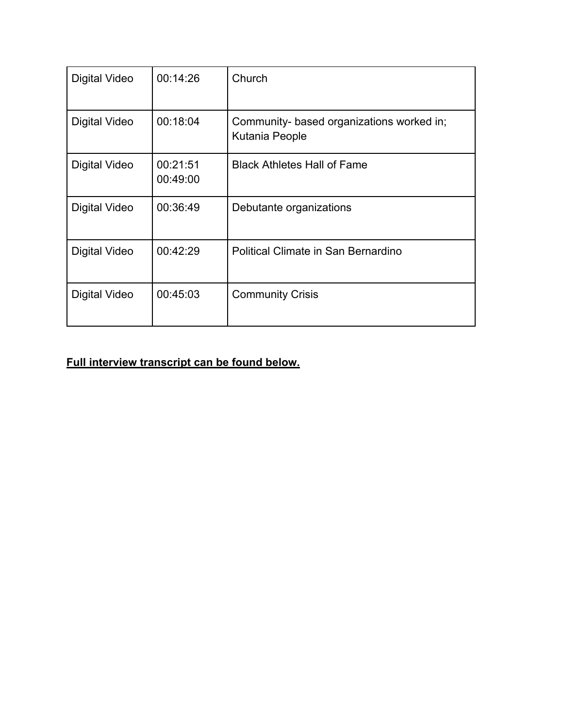| Digital Video        | 00:14:26             | Church                                                      |
|----------------------|----------------------|-------------------------------------------------------------|
| Digital Video        | 00:18:04             | Community- based organizations worked in;<br>Kutania People |
| <b>Digital Video</b> | 00:21:51<br>00:49:00 | <b>Black Athletes Hall of Fame</b>                          |
| <b>Digital Video</b> | 00:36:49             | Debutante organizations                                     |
| Digital Video        | 00:42:29             | Political Climate in San Bernardino                         |
| Digital Video        | 00:45:03             | <b>Community Crisis</b>                                     |

## **Full interview transcript can be found below.**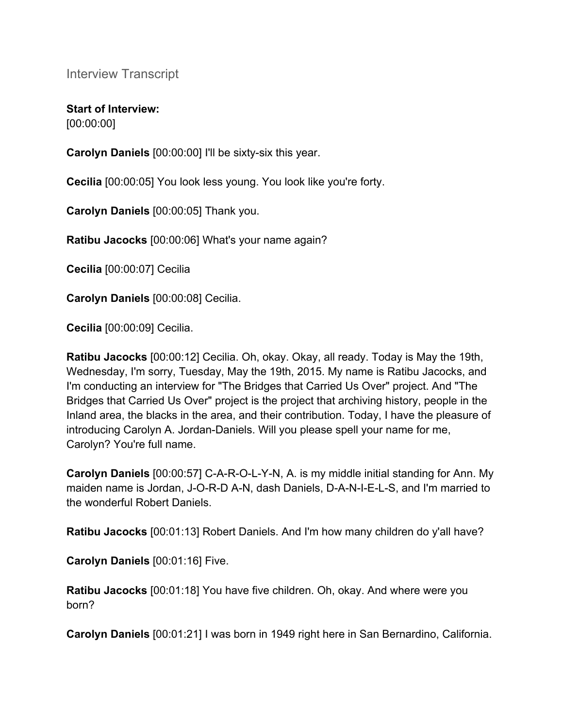Interview Transcript

**Start of Interview:** [00:00:00]

**Carolyn Daniels** [00:00:00] I'll be sixty-six this year.

**Cecilia** [00:00:05] You look less young. You look like you're forty.

**Carolyn Daniels** [00:00:05] Thank you.

**Ratibu Jacocks** [00:00:06] What's your name again?

**Cecilia** [00:00:07] Cecilia

**Carolyn Daniels** [00:00:08] Cecilia.

**Cecilia** [00:00:09] Cecilia.

**Ratibu Jacocks** [00:00:12] Cecilia. Oh, okay. Okay, all ready. Today is May the 19th, Wednesday, I'm sorry, Tuesday, May the 19th, 2015. My name is Ratibu Jacocks, and I'm conducting an interview for "The Bridges that Carried Us Over" project. And "The Bridges that Carried Us Over" project is the project that archiving history, people in the Inland area, the blacks in the area, and their contribution. Today, I have the pleasure of introducing Carolyn A. Jordan-Daniels. Will you please spell your name for me, Carolyn? You're full name.

**Carolyn Daniels** [00:00:57] C-A-R-O-L-Y-N, A. is my middle initial standing for Ann. My maiden name is Jordan, J-O-R-D A-N, dash Daniels, D-A-N-I-E-L-S, and I'm married to the wonderful Robert Daniels.

**Ratibu Jacocks** [00:01:13] Robert Daniels. And I'm how many children do y'all have?

**Carolyn Daniels** [00:01:16] Five.

**Ratibu Jacocks** [00:01:18] You have five children. Oh, okay. And where were you born?

**Carolyn Daniels** [00:01:21] I was born in 1949 right here in San Bernardino, California.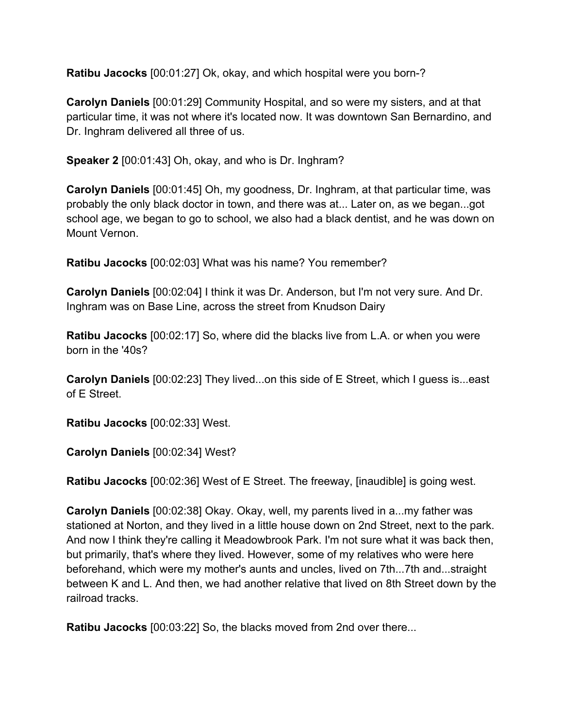**Ratibu Jacocks** [00:01:27] Ok, okay, and which hospital were you born-?

**Carolyn Daniels** [00:01:29] Community Hospital, and so were my sisters, and at that particular time, it was not where it's located now. It was downtown San Bernardino, and Dr. Inghram delivered all three of us.

**Speaker 2** [00:01:43] Oh, okay, and who is Dr. Inghram?

**Carolyn Daniels** [00:01:45] Oh, my goodness, Dr. Inghram, at that particular time, was probably the only black doctor in town, and there was at... Later on, as we began...got school age, we began to go to school, we also had a black dentist, and he was down on Mount Vernon.

**Ratibu Jacocks** [00:02:03] What was his name? You remember?

**Carolyn Daniels** [00:02:04] I think it was Dr. Anderson, but I'm not very sure. And Dr. Inghram was on Base Line, across the street from Knudson Dairy

**Ratibu Jacocks** [00:02:17] So, where did the blacks live from L.A. or when you were born in the '40s?

**Carolyn Daniels** [00:02:23] They lived...on this side of E Street, which I guess is...east of E Street.

**Ratibu Jacocks** [00:02:33] West.

**Carolyn Daniels** [00:02:34] West?

**Ratibu Jacocks** [00:02:36] West of E Street. The freeway, [inaudible] is going west.

**Carolyn Daniels** [00:02:38] Okay. Okay, well, my parents lived in a...my father was stationed at Norton, and they lived in a little house down on 2nd Street, next to the park. And now I think they're calling it Meadowbrook Park. I'm not sure what it was back then, but primarily, that's where they lived. However, some of my relatives who were here beforehand, which were my mother's aunts and uncles, lived on 7th...7th and...straight between K and L. And then, we had another relative that lived on 8th Street down by the railroad tracks.

**Ratibu Jacocks** [00:03:22] So, the blacks moved from 2nd over there...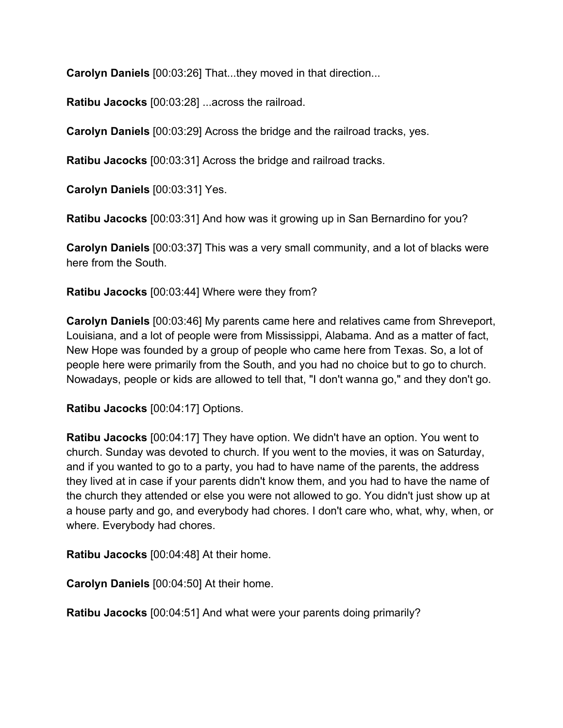**Carolyn Daniels** [00:03:26] That...they moved in that direction...

**Ratibu Jacocks** [00:03:28] ...across the railroad.

**Carolyn Daniels** [00:03:29] Across the bridge and the railroad tracks, yes.

**Ratibu Jacocks** [00:03:31] Across the bridge and railroad tracks.

**Carolyn Daniels** [00:03:31] Yes.

**Ratibu Jacocks** [00:03:31] And how was it growing up in San Bernardino for you?

**Carolyn Daniels** [00:03:37] This was a very small community, and a lot of blacks were here from the South.

**Ratibu Jacocks** [00:03:44] Where were they from?

**Carolyn Daniels** [00:03:46] My parents came here and relatives came from Shreveport, Louisiana, and a lot of people were from Mississippi, Alabama. And as a matter of fact, New Hope was founded by a group of people who came here from Texas. So, a lot of people here were primarily from the South, and you had no choice but to go to church. Nowadays, people or kids are allowed to tell that, "I don't wanna go," and they don't go.

**Ratibu Jacocks** [00:04:17] Options.

**Ratibu Jacocks** [00:04:17] They have option. We didn't have an option. You went to church. Sunday was devoted to church. If you went to the movies, it was on Saturday, and if you wanted to go to a party, you had to have name of the parents, the address they lived at in case if your parents didn't know them, and you had to have the name of the church they attended or else you were not allowed to go. You didn't just show up at a house party and go, and everybody had chores. I don't care who, what, why, when, or where. Everybody had chores.

**Ratibu Jacocks** [00:04:48] At their home.

**Carolyn Daniels** [00:04:50] At their home.

**Ratibu Jacocks** [00:04:51] And what were your parents doing primarily?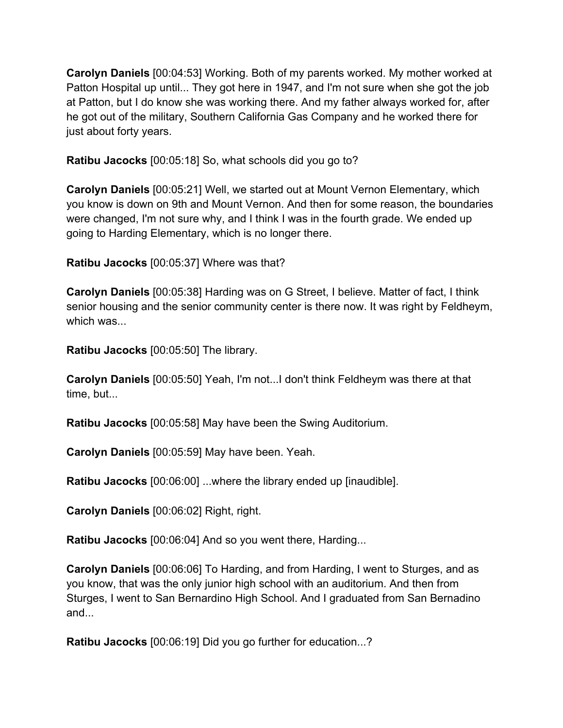**Carolyn Daniels** [00:04:53] Working. Both of my parents worked. My mother worked at Patton Hospital up until... They got here in 1947, and I'm not sure when she got the job at Patton, but I do know she was working there. And my father always worked for, after he got out of the military, Southern California Gas Company and he worked there for just about forty years.

**Ratibu Jacocks** [00:05:18] So, what schools did you go to?

**Carolyn Daniels** [00:05:21] Well, we started out at Mount Vernon Elementary, which you know is down on 9th and Mount Vernon. And then for some reason, the boundaries were changed, I'm not sure why, and I think I was in the fourth grade. We ended up going to Harding Elementary, which is no longer there.

**Ratibu Jacocks** [00:05:37] Where was that?

**Carolyn Daniels** [00:05:38] Harding was on G Street, I believe. Matter of fact, I think senior housing and the senior community center is there now. It was right by Feldheym, which was...

**Ratibu Jacocks** [00:05:50] The library.

**Carolyn Daniels** [00:05:50] Yeah, I'm not...I don't think Feldheym was there at that time, but...

**Ratibu Jacocks** [00:05:58] May have been the Swing Auditorium.

**Carolyn Daniels** [00:05:59] May have been. Yeah.

**Ratibu Jacocks** [00:06:00] ...where the library ended up [inaudible].

**Carolyn Daniels** [00:06:02] Right, right.

**Ratibu Jacocks** [00:06:04] And so you went there, Harding...

**Carolyn Daniels** [00:06:06] To Harding, and from Harding, I went to Sturges, and as you know, that was the only junior high school with an auditorium. And then from Sturges, I went to San Bernardino High School. And I graduated from San Bernadino and...

**Ratibu Jacocks** [00:06:19] Did you go further for education...?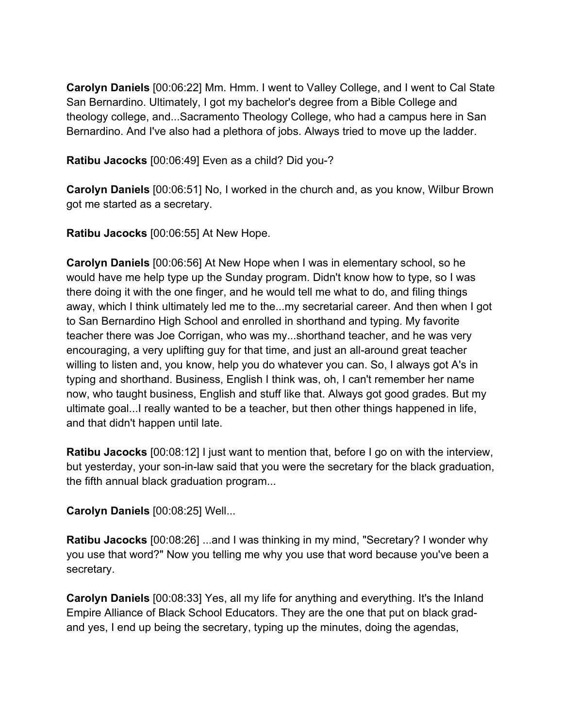**Carolyn Daniels** [00:06:22] Mm. Hmm. I went to Valley College, and I went to Cal State San Bernardino. Ultimately, I got my bachelor's degree from a Bible College and theology college, and...Sacramento Theology College, who had a campus here in San Bernardino. And I've also had a plethora of jobs. Always tried to move up the ladder.

**Ratibu Jacocks** [00:06:49] Even as a child? Did you-?

**Carolyn Daniels** [00:06:51] No, I worked in the church and, as you know, Wilbur Brown got me started as a secretary.

**Ratibu Jacocks** [00:06:55] At New Hope.

**Carolyn Daniels** [00:06:56] At New Hope when I was in elementary school, so he would have me help type up the Sunday program. Didn't know how to type, so I was there doing it with the one finger, and he would tell me what to do, and filing things away, which I think ultimately led me to the...my secretarial career. And then when I got to San Bernardino High School and enrolled in shorthand and typing. My favorite teacher there was Joe Corrigan, who was my...shorthand teacher, and he was very encouraging, a very uplifting guy for that time, and just an all-around great teacher willing to listen and, you know, help you do whatever you can. So, I always got A's in typing and shorthand. Business, English I think was, oh, I can't remember her name now, who taught business, English and stuff like that. Always got good grades. But my ultimate goal...I really wanted to be a teacher, but then other things happened in life, and that didn't happen until late.

**Ratibu Jacocks** [00:08:12] I just want to mention that, before I go on with the interview, but yesterday, your son-in-law said that you were the secretary for the black graduation, the fifth annual black graduation program...

**Carolyn Daniels** [00:08:25] Well...

**Ratibu Jacocks** [00:08:26] ...and I was thinking in my mind, "Secretary? I wonder why you use that word?" Now you telling me why you use that word because you've been a secretary.

**Carolyn Daniels** [00:08:33] Yes, all my life for anything and everything. It's the Inland Empire Alliance of Black School Educators. They are the one that put on black gradand yes, I end up being the secretary, typing up the minutes, doing the agendas,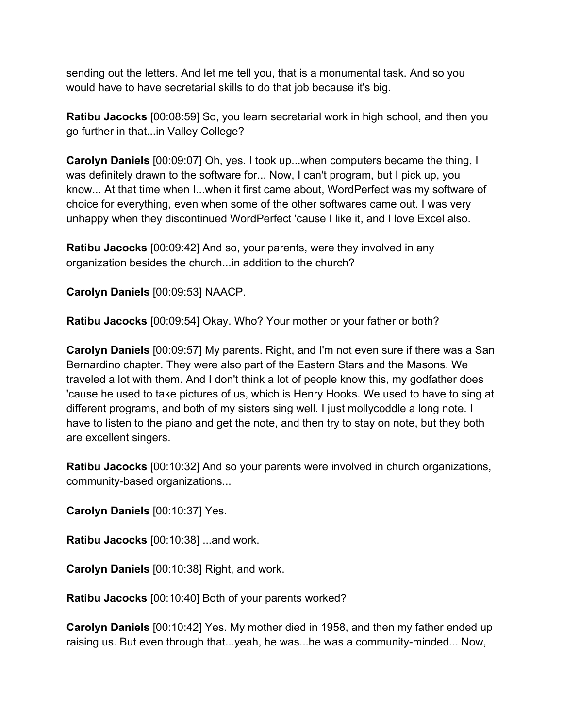sending out the letters. And let me tell you, that is a monumental task. And so you would have to have secretarial skills to do that job because it's big.

**Ratibu Jacocks** [00:08:59] So, you learn secretarial work in high school, and then you go further in that...in Valley College?

**Carolyn Daniels** [00:09:07] Oh, yes. I took up...when computers became the thing, I was definitely drawn to the software for... Now, I can't program, but I pick up, you know... At that time when I...when it first came about, WordPerfect was my software of choice for everything, even when some of the other softwares came out. I was very unhappy when they discontinued WordPerfect 'cause I like it, and I love Excel also.

**Ratibu Jacocks** [00:09:42] And so, your parents, were they involved in any organization besides the church...in addition to the church?

**Carolyn Daniels** [00:09:53] NAACP.

**Ratibu Jacocks** [00:09:54] Okay. Who? Your mother or your father or both?

**Carolyn Daniels** [00:09:57] My parents. Right, and I'm not even sure if there was a San Bernardino chapter. They were also part of the Eastern Stars and the Masons. We traveled a lot with them. And I don't think a lot of people know this, my godfather does 'cause he used to take pictures of us, which is Henry Hooks. We used to have to sing at different programs, and both of my sisters sing well. I just mollycoddle a long note. I have to listen to the piano and get the note, and then try to stay on note, but they both are excellent singers.

**Ratibu Jacocks** [00:10:32] And so your parents were involved in church organizations, community-based organizations...

**Carolyn Daniels** [00:10:37] Yes.

**Ratibu Jacocks** [00:10:38] ...and work.

**Carolyn Daniels** [00:10:38] Right, and work.

**Ratibu Jacocks** [00:10:40] Both of your parents worked?

**Carolyn Daniels** [00:10:42] Yes. My mother died in 1958, and then my father ended up raising us. But even through that...yeah, he was...he was a community-minded... Now,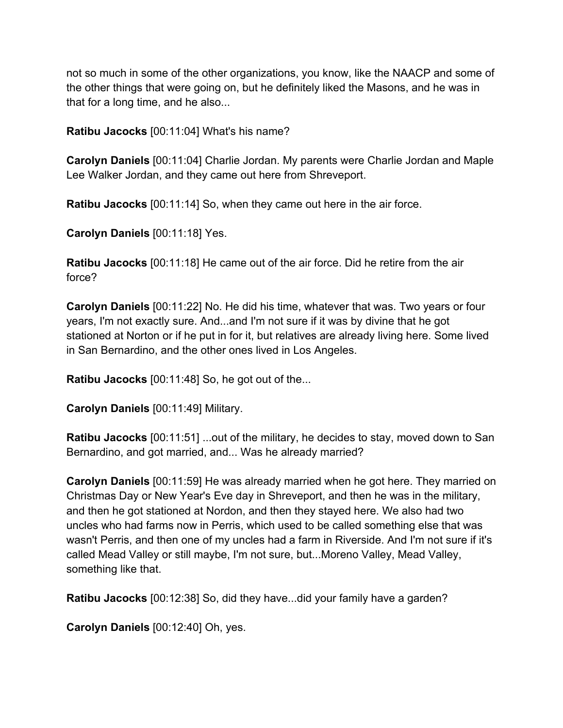not so much in some of the other organizations, you know, like the NAACP and some of the other things that were going on, but he definitely liked the Masons, and he was in that for a long time, and he also...

**Ratibu Jacocks** [00:11:04] What's his name?

**Carolyn Daniels** [00:11:04] Charlie Jordan. My parents were Charlie Jordan and Maple Lee Walker Jordan, and they came out here from Shreveport.

**Ratibu Jacocks** [00:11:14] So, when they came out here in the air force.

**Carolyn Daniels** [00:11:18] Yes.

**Ratibu Jacocks** [00:11:18] He came out of the air force. Did he retire from the air force?

**Carolyn Daniels** [00:11:22] No. He did his time, whatever that was. Two years or four years, I'm not exactly sure. And...and I'm not sure if it was by divine that he got stationed at Norton or if he put in for it, but relatives are already living here. Some lived in San Bernardino, and the other ones lived in Los Angeles.

**Ratibu Jacocks** [00:11:48] So, he got out of the...

**Carolyn Daniels** [00:11:49] Military.

**Ratibu Jacocks** [00:11:51] ...out of the military, he decides to stay, moved down to San Bernardino, and got married, and... Was he already married?

**Carolyn Daniels** [00:11:59] He was already married when he got here. They married on Christmas Day or New Year's Eve day in Shreveport, and then he was in the military, and then he got stationed at Nordon, and then they stayed here. We also had two uncles who had farms now in Perris, which used to be called something else that was wasn't Perris, and then one of my uncles had a farm in Riverside. And I'm not sure if it's called Mead Valley or still maybe, I'm not sure, but...Moreno Valley, Mead Valley, something like that.

**Ratibu Jacocks** [00:12:38] So, did they have...did your family have a garden?

**Carolyn Daniels** [00:12:40] Oh, yes.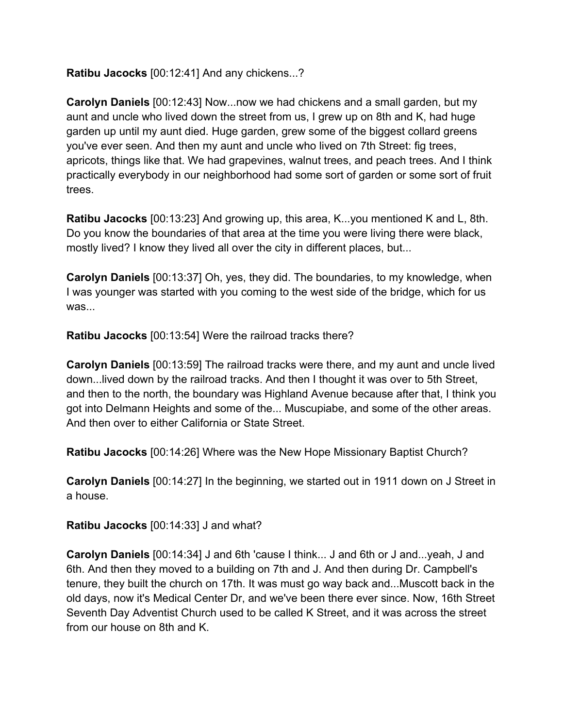**Ratibu Jacocks** [00:12:41] And any chickens...?

**Carolyn Daniels** [00:12:43] Now...now we had chickens and a small garden, but my aunt and uncle who lived down the street from us, I grew up on 8th and K, had huge garden up until my aunt died. Huge garden, grew some of the biggest collard greens you've ever seen. And then my aunt and uncle who lived on 7th Street: fig trees, apricots, things like that. We had grapevines, walnut trees, and peach trees. And I think practically everybody in our neighborhood had some sort of garden or some sort of fruit trees.

**Ratibu Jacocks** [00:13:23] And growing up, this area, K...you mentioned K and L, 8th. Do you know the boundaries of that area at the time you were living there were black, mostly lived? I know they lived all over the city in different places, but...

**Carolyn Daniels** [00:13:37] Oh, yes, they did. The boundaries, to my knowledge, when I was younger was started with you coming to the west side of the bridge, which for us was...

**Ratibu Jacocks** [00:13:54] Were the railroad tracks there?

**Carolyn Daniels** [00:13:59] The railroad tracks were there, and my aunt and uncle lived down...lived down by the railroad tracks. And then I thought it was over to 5th Street, and then to the north, the boundary was Highland Avenue because after that, I think you got into Delmann Heights and some of the... Muscupiabe, and some of the other areas. And then over to either California or State Street.

**Ratibu Jacocks** [00:14:26] Where was the New Hope Missionary Baptist Church?

**Carolyn Daniels** [00:14:27] In the beginning, we started out in 1911 down on J Street in a house.

**Ratibu Jacocks** [00:14:33] J and what?

**Carolyn Daniels** [00:14:34] J and 6th 'cause I think... J and 6th or J and...yeah, J and 6th. And then they moved to a building on 7th and J. And then during Dr. Campbell's tenure, they built the church on 17th. It was must go way back and...Muscott back in the old days, now it's Medical Center Dr, and we've been there ever since. Now, 16th Street Seventh Day Adventist Church used to be called K Street, and it was across the street from our house on 8th and K.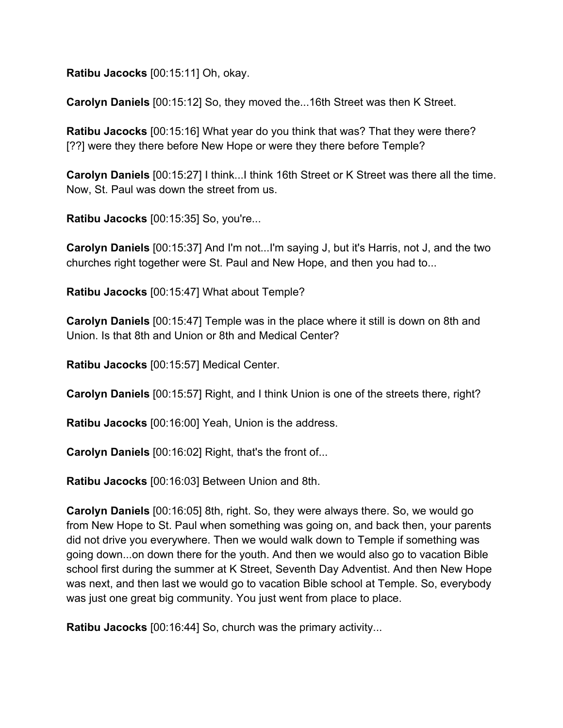**Ratibu Jacocks** [00:15:11] Oh, okay.

**Carolyn Daniels** [00:15:12] So, they moved the...16th Street was then K Street.

**Ratibu Jacocks** [00:15:16] What year do you think that was? That they were there? [??] were they there before New Hope or were they there before Temple?

**Carolyn Daniels** [00:15:27] I think...I think 16th Street or K Street was there all the time. Now, St. Paul was down the street from us.

**Ratibu Jacocks** [00:15:35] So, you're...

**Carolyn Daniels** [00:15:37] And I'm not...I'm saying J, but it's Harris, not J, and the two churches right together were St. Paul and New Hope, and then you had to...

**Ratibu Jacocks** [00:15:47] What about Temple?

**Carolyn Daniels** [00:15:47] Temple was in the place where it still is down on 8th and Union. Is that 8th and Union or 8th and Medical Center?

**Ratibu Jacocks** [00:15:57] Medical Center.

**Carolyn Daniels** [00:15:57] Right, and I think Union is one of the streets there, right?

**Ratibu Jacocks** [00:16:00] Yeah, Union is the address.

**Carolyn Daniels** [00:16:02] Right, that's the front of...

**Ratibu Jacocks** [00:16:03] Between Union and 8th.

**Carolyn Daniels** [00:16:05] 8th, right. So, they were always there. So, we would go from New Hope to St. Paul when something was going on, and back then, your parents did not drive you everywhere. Then we would walk down to Temple if something was going down...on down there for the youth. And then we would also go to vacation Bible school first during the summer at K Street, Seventh Day Adventist. And then New Hope was next, and then last we would go to vacation Bible school at Temple. So, everybody was just one great big community. You just went from place to place.

**Ratibu Jacocks** [00:16:44] So, church was the primary activity...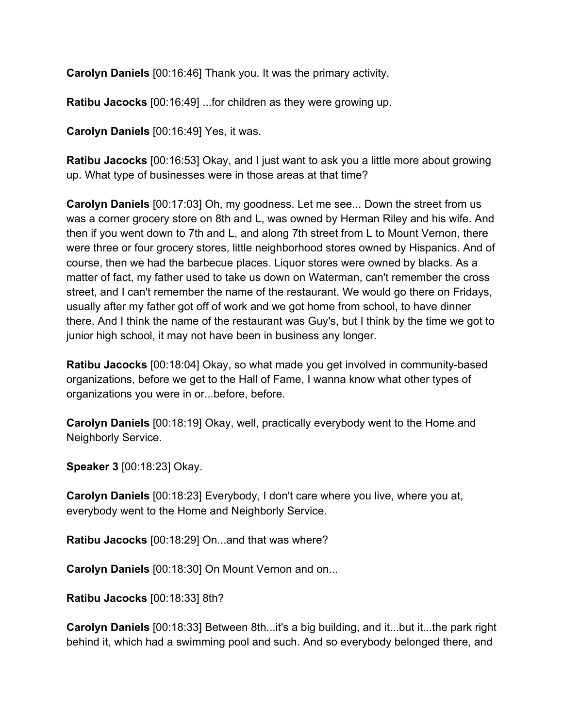**Carolyn Daniels** [00:16:46] Thank you. It was the primary activity.

**Ratibu Jacocks** [00:16:49] ...for children as they were growing up.

**Carolyn Daniels** [00:16:49] Yes, it was.

**Ratibu Jacocks** [00:16:53] Okay, and I just want to ask you a little more about growing up. What type of businesses were in those areas at that time?

**Carolyn Daniels** [00:17:03] Oh, my goodness. Let me see... Down the street from us was a corner grocery store on 8th and L, was owned by Herman Riley and his wife. And then if you went down to 7th and L, and along 7th street from L to Mount Vernon, there were three or four grocery stores, little neighborhood stores owned by Hispanics. And of course, then we had the barbecue places. Liquor stores were owned by blacks. As a matter of fact, my father used to take us down on Waterman, can't remember the cross street, and I can't remember the name of the restaurant. We would go there on Fridays, usually after my father got off of work and we got home from school, to have dinner there. And I think the name of the restaurant was Guy's, but I think by the time we got to junior high school, it may not have been in business any longer.

**Ratibu Jacocks** [00:18:04] Okay, so what made you get involved in community-based organizations, before we get to the Hall of Fame, I wanna know what other types of organizations you were in or...before, before.

**Carolyn Daniels** [00:18:19] Okay, well, practically everybody went to the Home and Neighborly Service.

**Speaker 3** [00:18:23] Okay.

**Carolyn Daniels** [00:18:23] Everybody, I don't care where you live, where you at, everybody went to the Home and Neighborly Service.

**Ratibu Jacocks** [00:18:29] On...and that was where?

**Carolyn Daniels** [00:18:30] On Mount Vernon and on...

**Ratibu Jacocks** [00:18:33] 8th?

**Carolyn Daniels** [00:18:33] Between 8th...it's a big building, and it...but it...the park right behind it, which had a swimming pool and such. And so everybody belonged there, and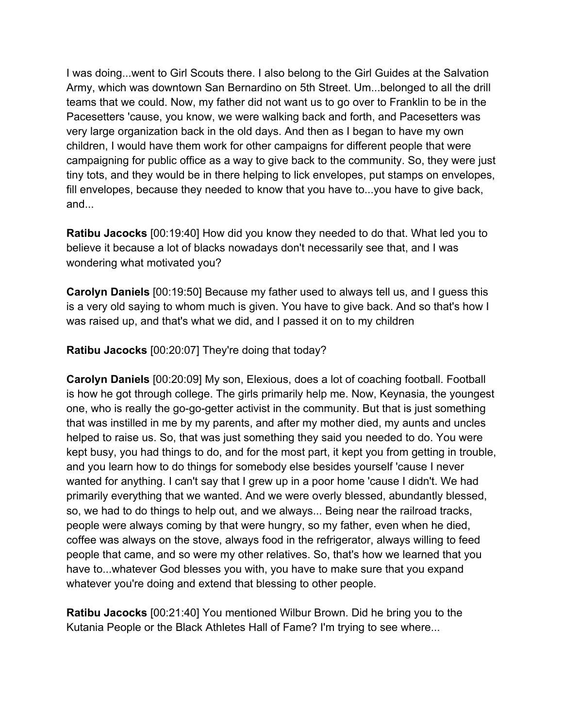I was doing...went to Girl Scouts there. I also belong to the Girl Guides at the Salvation Army, which was downtown San Bernardino on 5th Street. Um...belonged to all the drill teams that we could. Now, my father did not want us to go over to Franklin to be in the Pacesetters 'cause, you know, we were walking back and forth, and Pacesetters was very large organization back in the old days. And then as I began to have my own children, I would have them work for other campaigns for different people that were campaigning for public office as a way to give back to the community. So, they were just tiny tots, and they would be in there helping to lick envelopes, put stamps on envelopes, fill envelopes, because they needed to know that you have to...you have to give back, and...

**Ratibu Jacocks** [00:19:40] How did you know they needed to do that. What led you to believe it because a lot of blacks nowadays don't necessarily see that, and I was wondering what motivated you?

**Carolyn Daniels** [00:19:50] Because my father used to always tell us, and I guess this is a very old saying to whom much is given. You have to give back. And so that's how I was raised up, and that's what we did, and I passed it on to my children

**Ratibu Jacocks** [00:20:07] They're doing that today?

**Carolyn Daniels** [00:20:09] My son, Elexious, does a lot of coaching football. Football is how he got through college. The girls primarily help me. Now, Keynasia, the youngest one, who is really the go-go-getter activist in the community. But that is just something that was instilled in me by my parents, and after my mother died, my aunts and uncles helped to raise us. So, that was just something they said you needed to do. You were kept busy, you had things to do, and for the most part, it kept you from getting in trouble, and you learn how to do things for somebody else besides yourself 'cause I never wanted for anything. I can't say that I grew up in a poor home 'cause I didn't. We had primarily everything that we wanted. And we were overly blessed, abundantly blessed, so, we had to do things to help out, and we always... Being near the railroad tracks, people were always coming by that were hungry, so my father, even when he died, coffee was always on the stove, always food in the refrigerator, always willing to feed people that came, and so were my other relatives. So, that's how we learned that you have to...whatever God blesses you with, you have to make sure that you expand whatever you're doing and extend that blessing to other people.

**Ratibu Jacocks** [00:21:40] You mentioned Wilbur Brown. Did he bring you to the Kutania People or the Black Athletes Hall of Fame? I'm trying to see where...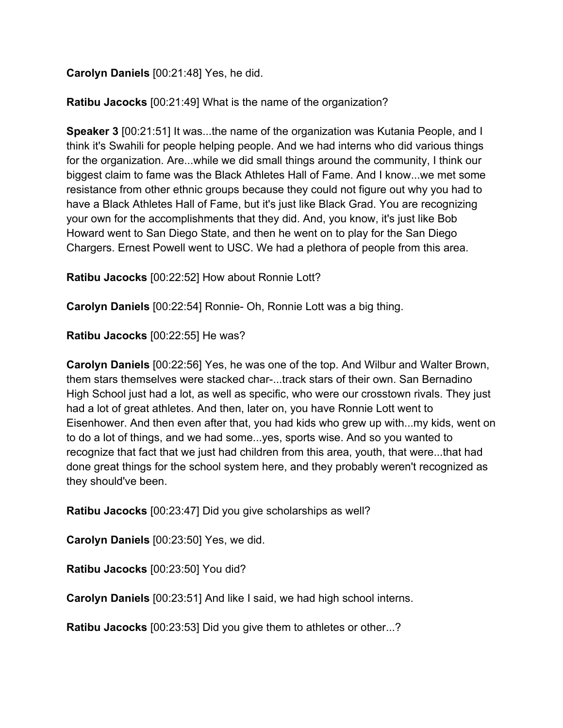**Carolyn Daniels** [00:21:48] Yes, he did.

**Ratibu Jacocks** [00:21:49] What is the name of the organization?

**Speaker 3** [00:21:51] It was...the name of the organization was Kutania People, and I think it's Swahili for people helping people. And we had interns who did various things for the organization. Are...while we did small things around the community, I think our biggest claim to fame was the Black Athletes Hall of Fame. And I know...we met some resistance from other ethnic groups because they could not figure out why you had to have a Black Athletes Hall of Fame, but it's just like Black Grad. You are recognizing your own for the accomplishments that they did. And, you know, it's just like Bob Howard went to San Diego State, and then he went on to play for the San Diego Chargers. Ernest Powell went to USC. We had a plethora of people from this area.

**Ratibu Jacocks** [00:22:52] How about Ronnie Lott?

**Carolyn Daniels** [00:22:54] Ronnie- Oh, Ronnie Lott was a big thing.

**Ratibu Jacocks** [00:22:55] He was?

**Carolyn Daniels** [00:22:56] Yes, he was one of the top. And Wilbur and Walter Brown, them stars themselves were stacked char-...track stars of their own. San Bernadino High School just had a lot, as well as specific, who were our crosstown rivals. They just had a lot of great athletes. And then, later on, you have Ronnie Lott went to Eisenhower. And then even after that, you had kids who grew up with...my kids, went on to do a lot of things, and we had some...yes, sports wise. And so you wanted to recognize that fact that we just had children from this area, youth, that were...that had done great things for the school system here, and they probably weren't recognized as they should've been.

**Ratibu Jacocks** [00:23:47] Did you give scholarships as well?

**Carolyn Daniels** [00:23:50] Yes, we did.

**Ratibu Jacocks** [00:23:50] You did?

**Carolyn Daniels** [00:23:51] And like I said, we had high school interns.

**Ratibu Jacocks** [00:23:53] Did you give them to athletes or other...?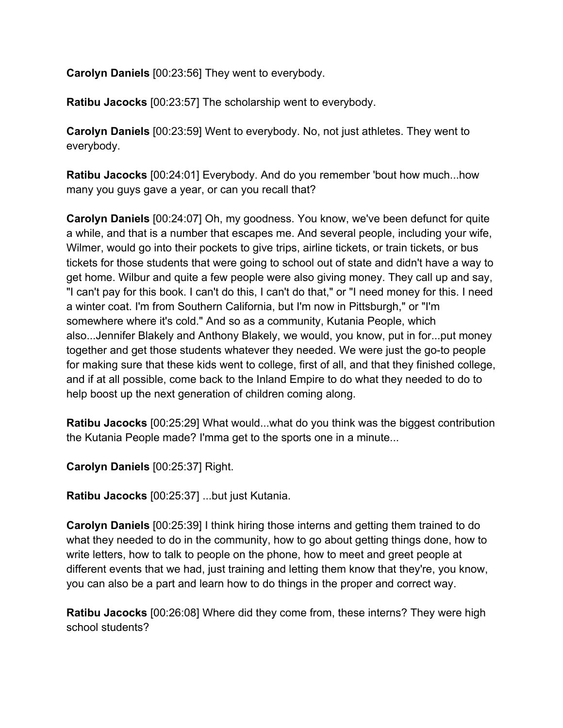**Carolyn Daniels** [00:23:56] They went to everybody.

**Ratibu Jacocks** [00:23:57] The scholarship went to everybody.

**Carolyn Daniels** [00:23:59] Went to everybody. No, not just athletes. They went to everybody.

**Ratibu Jacocks** [00:24:01] Everybody. And do you remember 'bout how much...how many you guys gave a year, or can you recall that?

**Carolyn Daniels** [00:24:07] Oh, my goodness. You know, we've been defunct for quite a while, and that is a number that escapes me. And several people, including your wife, Wilmer, would go into their pockets to give trips, airline tickets, or train tickets, or bus tickets for those students that were going to school out of state and didn't have a way to get home. Wilbur and quite a few people were also giving money. They call up and say, "I can't pay for this book. I can't do this, I can't do that," or "I need money for this. I need a winter coat. I'm from Southern California, but I'm now in Pittsburgh," or "I'm somewhere where it's cold." And so as a community, Kutania People, which also...Jennifer Blakely and Anthony Blakely, we would, you know, put in for...put money together and get those students whatever they needed. We were just the go-to people for making sure that these kids went to college, first of all, and that they finished college, and if at all possible, come back to the Inland Empire to do what they needed to do to help boost up the next generation of children coming along.

**Ratibu Jacocks** [00:25:29] What would...what do you think was the biggest contribution the Kutania People made? I'mma get to the sports one in a minute...

**Carolyn Daniels** [00:25:37] Right.

**Ratibu Jacocks** [00:25:37] ...but just Kutania.

**Carolyn Daniels** [00:25:39] I think hiring those interns and getting them trained to do what they needed to do in the community, how to go about getting things done, how to write letters, how to talk to people on the phone, how to meet and greet people at different events that we had, just training and letting them know that they're, you know, you can also be a part and learn how to do things in the proper and correct way.

**Ratibu Jacocks** [00:26:08] Where did they come from, these interns? They were high school students?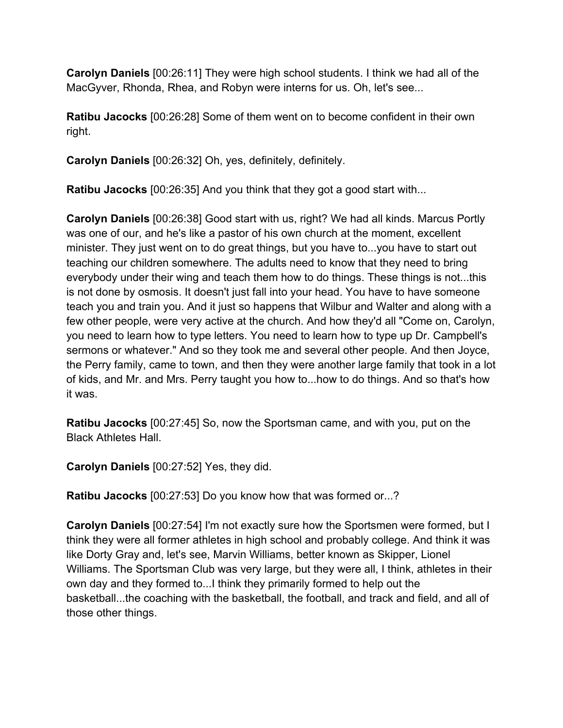**Carolyn Daniels** [00:26:11] They were high school students. I think we had all of the MacGyver, Rhonda, Rhea, and Robyn were interns for us. Oh, let's see...

**Ratibu Jacocks** [00:26:28] Some of them went on to become confident in their own right.

**Carolyn Daniels** [00:26:32] Oh, yes, definitely, definitely.

**Ratibu Jacocks** [00:26:35] And you think that they got a good start with...

**Carolyn Daniels** [00:26:38] Good start with us, right? We had all kinds. Marcus Portly was one of our, and he's like a pastor of his own church at the moment, excellent minister. They just went on to do great things, but you have to...you have to start out teaching our children somewhere. The adults need to know that they need to bring everybody under their wing and teach them how to do things. These things is not...this is not done by osmosis. It doesn't just fall into your head. You have to have someone teach you and train you. And it just so happens that Wilbur and Walter and along with a few other people, were very active at the church. And how they'd all "Come on, Carolyn, you need to learn how to type letters. You need to learn how to type up Dr. Campbell's sermons or whatever." And so they took me and several other people. And then Joyce, the Perry family, came to town, and then they were another large family that took in a lot of kids, and Mr. and Mrs. Perry taught you how to...how to do things. And so that's how it was.

**Ratibu Jacocks** [00:27:45] So, now the Sportsman came, and with you, put on the Black Athletes Hall.

**Carolyn Daniels** [00:27:52] Yes, they did.

**Ratibu Jacocks** [00:27:53] Do you know how that was formed or...?

**Carolyn Daniels** [00:27:54] I'm not exactly sure how the Sportsmen were formed, but I think they were all former athletes in high school and probably college. And think it was like Dorty Gray and, let's see, Marvin Williams, better known as Skipper, Lionel Williams. The Sportsman Club was very large, but they were all, I think, athletes in their own day and they formed to...I think they primarily formed to help out the basketball...the coaching with the basketball, the football, and track and field, and all of those other things.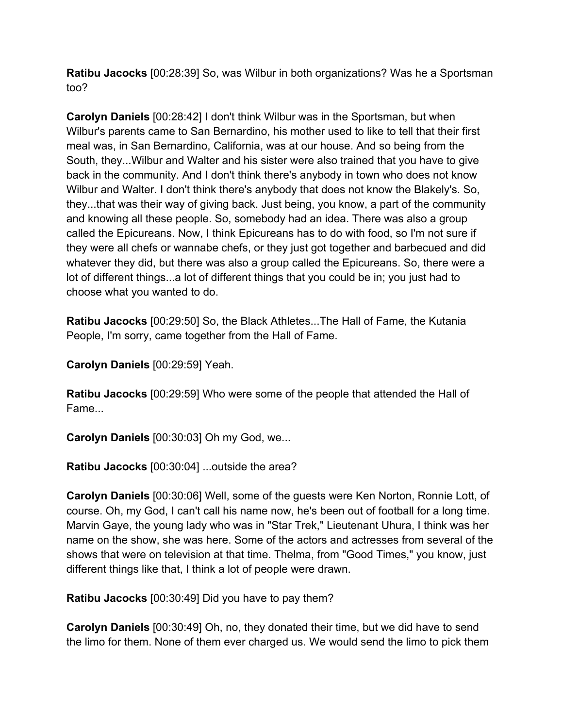**Ratibu Jacocks** [00:28:39] So, was Wilbur in both organizations? Was he a Sportsman too?

**Carolyn Daniels** [00:28:42] I don't think Wilbur was in the Sportsman, but when Wilbur's parents came to San Bernardino, his mother used to like to tell that their first meal was, in San Bernardino, California, was at our house. And so being from the South, they...Wilbur and Walter and his sister were also trained that you have to give back in the community. And I don't think there's anybody in town who does not know Wilbur and Walter. I don't think there's anybody that does not know the Blakely's. So, they...that was their way of giving back. Just being, you know, a part of the community and knowing all these people. So, somebody had an idea. There was also a group called the Epicureans. Now, I think Epicureans has to do with food, so I'm not sure if they were all chefs or wannabe chefs, or they just got together and barbecued and did whatever they did, but there was also a group called the Epicureans. So, there were a lot of different things...a lot of different things that you could be in; you just had to choose what you wanted to do.

**Ratibu Jacocks** [00:29:50] So, the Black Athletes...The Hall of Fame, the Kutania People, I'm sorry, came together from the Hall of Fame.

**Carolyn Daniels** [00:29:59] Yeah.

**Ratibu Jacocks** [00:29:59] Who were some of the people that attended the Hall of Fame...

**Carolyn Daniels** [00:30:03] Oh my God, we...

**Ratibu Jacocks** [00:30:04] ...outside the area?

**Carolyn Daniels** [00:30:06] Well, some of the guests were Ken Norton, Ronnie Lott, of course. Oh, my God, I can't call his name now, he's been out of football for a long time. Marvin Gaye, the young lady who was in "Star Trek," Lieutenant Uhura, I think was her name on the show, she was here. Some of the actors and actresses from several of the shows that were on television at that time. Thelma, from "Good Times," you know, just different things like that, I think a lot of people were drawn.

**Ratibu Jacocks** [00:30:49] Did you have to pay them?

**Carolyn Daniels** [00:30:49] Oh, no, they donated their time, but we did have to send the limo for them. None of them ever charged us. We would send the limo to pick them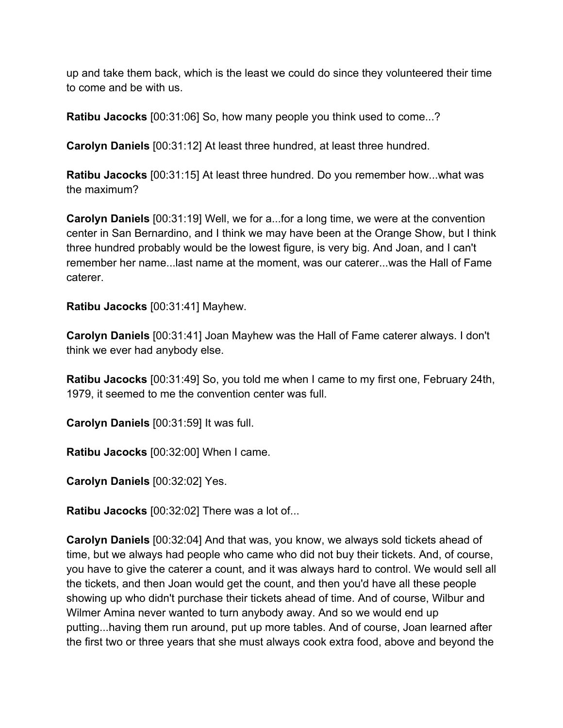up and take them back, which is the least we could do since they volunteered their time to come and be with us.

**Ratibu Jacocks** [00:31:06] So, how many people you think used to come...?

**Carolyn Daniels** [00:31:12] At least three hundred, at least three hundred.

**Ratibu Jacocks** [00:31:15] At least three hundred. Do you remember how...what was the maximum?

**Carolyn Daniels** [00:31:19] Well, we for a...for a long time, we were at the convention center in San Bernardino, and I think we may have been at the Orange Show, but I think three hundred probably would be the lowest figure, is very big. And Joan, and I can't remember her name...last name at the moment, was our caterer...was the Hall of Fame caterer.

**Ratibu Jacocks** [00:31:41] Mayhew.

**Carolyn Daniels** [00:31:41] Joan Mayhew was the Hall of Fame caterer always. I don't think we ever had anybody else.

**Ratibu Jacocks** [00:31:49] So, you told me when I came to my first one, February 24th, 1979, it seemed to me the convention center was full.

**Carolyn Daniels** [00:31:59] It was full.

**Ratibu Jacocks** [00:32:00] When I came.

**Carolyn Daniels** [00:32:02] Yes.

**Ratibu Jacocks** [00:32:02] There was a lot of...

**Carolyn Daniels** [00:32:04] And that was, you know, we always sold tickets ahead of time, but we always had people who came who did not buy their tickets. And, of course, you have to give the caterer a count, and it was always hard to control. We would sell all the tickets, and then Joan would get the count, and then you'd have all these people showing up who didn't purchase their tickets ahead of time. And of course, Wilbur and Wilmer Amina never wanted to turn anybody away. And so we would end up putting...having them run around, put up more tables. And of course, Joan learned after the first two or three years that she must always cook extra food, above and beyond the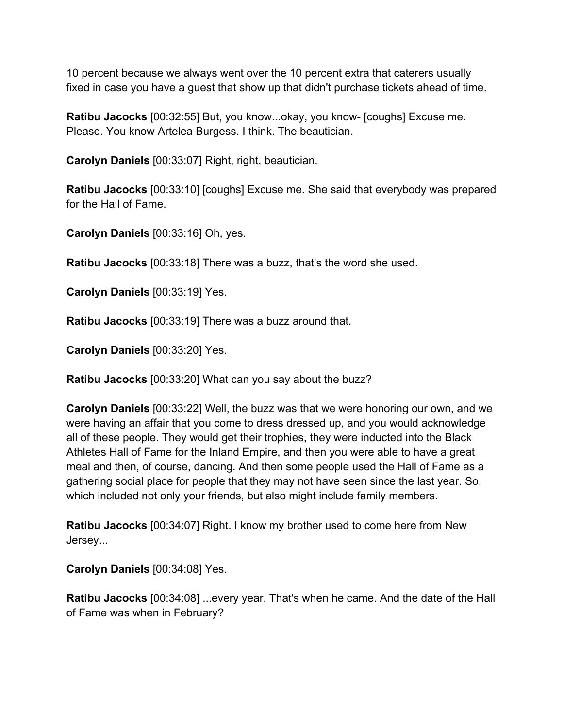10 percent because we always went over the 10 percent extra that caterers usually fixed in case you have a guest that show up that didn't purchase tickets ahead of time.

**Ratibu Jacocks** [00:32:55] But, you know...okay, you know- [coughs] Excuse me. Please. You know Artelea Burgess. I think. The beautician.

**Carolyn Daniels** [00:33:07] Right, right, beautician.

**Ratibu Jacocks** [00:33:10] [coughs] Excuse me. She said that everybody was prepared for the Hall of Fame.

**Carolyn Daniels** [00:33:16] Oh, yes.

**Ratibu Jacocks** [00:33:18] There was a buzz, that's the word she used.

**Carolyn Daniels** [00:33:19] Yes.

**Ratibu Jacocks** [00:33:19] There was a buzz around that.

**Carolyn Daniels** [00:33:20] Yes.

**Ratibu Jacocks** [00:33:20] What can you say about the buzz?

**Carolyn Daniels** [00:33:22] Well, the buzz was that we were honoring our own, and we were having an affair that you come to dress dressed up, and you would acknowledge all of these people. They would get their trophies, they were inducted into the Black Athletes Hall of Fame for the Inland Empire, and then you were able to have a great meal and then, of course, dancing. And then some people used the Hall of Fame as a gathering social place for people that they may not have seen since the last year. So, which included not only your friends, but also might include family members.

**Ratibu Jacocks** [00:34:07] Right. I know my brother used to come here from New Jersey...

**Carolyn Daniels** [00:34:08] Yes.

**Ratibu Jacocks** [00:34:08] ...every year. That's when he came. And the date of the Hall of Fame was when in February?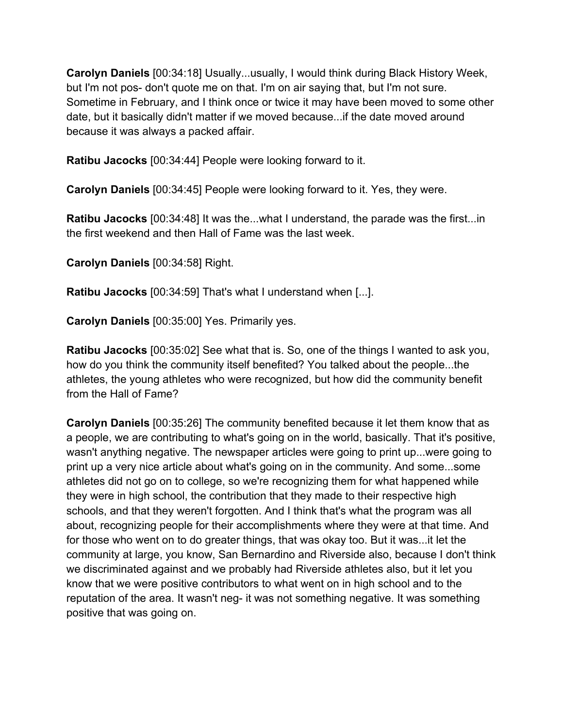**Carolyn Daniels** [00:34:18] Usually...usually, I would think during Black History Week, but I'm not pos- don't quote me on that. I'm on air saying that, but I'm not sure. Sometime in February, and I think once or twice it may have been moved to some other date, but it basically didn't matter if we moved because...if the date moved around because it was always a packed affair.

**Ratibu Jacocks** [00:34:44] People were looking forward to it.

**Carolyn Daniels** [00:34:45] People were looking forward to it. Yes, they were.

**Ratibu Jacocks** [00:34:48] It was the...what I understand, the parade was the first...in the first weekend and then Hall of Fame was the last week.

**Carolyn Daniels** [00:34:58] Right.

**Ratibu Jacocks** [00:34:59] That's what I understand when [...].

**Carolyn Daniels** [00:35:00] Yes. Primarily yes.

**Ratibu Jacocks** [00:35:02] See what that is. So, one of the things I wanted to ask you, how do you think the community itself benefited? You talked about the people...the athletes, the young athletes who were recognized, but how did the community benefit from the Hall of Fame?

**Carolyn Daniels** [00:35:26] The community benefited because it let them know that as a people, we are contributing to what's going on in the world, basically. That it's positive, wasn't anything negative. The newspaper articles were going to print up...were going to print up a very nice article about what's going on in the community. And some...some athletes did not go on to college, so we're recognizing them for what happened while they were in high school, the contribution that they made to their respective high schools, and that they weren't forgotten. And I think that's what the program was all about, recognizing people for their accomplishments where they were at that time. And for those who went on to do greater things, that was okay too. But it was...it let the community at large, you know, San Bernardino and Riverside also, because I don't think we discriminated against and we probably had Riverside athletes also, but it let you know that we were positive contributors to what went on in high school and to the reputation of the area. It wasn't neg- it was not something negative. It was something positive that was going on.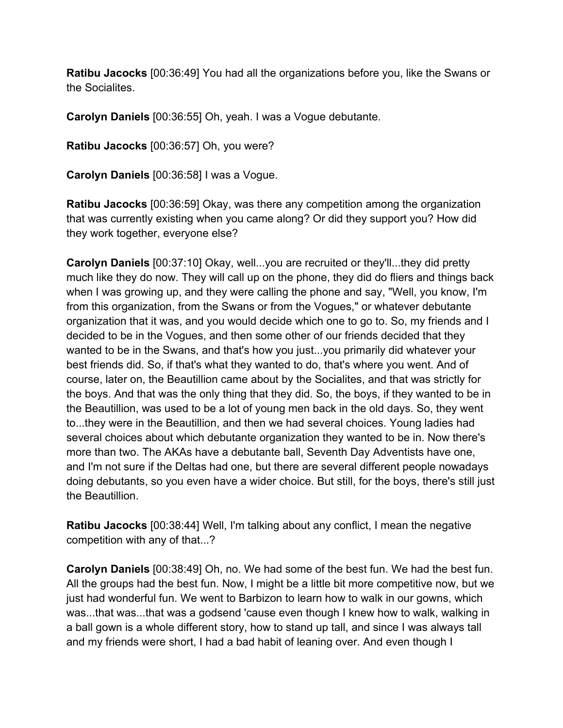**Ratibu Jacocks** [00:36:49] You had all the organizations before you, like the Swans or the Socialites.

**Carolyn Daniels** [00:36:55] Oh, yeah. I was a Vogue debutante.

**Ratibu Jacocks** [00:36:57] Oh, you were?

**Carolyn Daniels** [00:36:58] I was a Vogue.

**Ratibu Jacocks** [00:36:59] Okay, was there any competition among the organization that was currently existing when you came along? Or did they support you? How did they work together, everyone else?

**Carolyn Daniels** [00:37:10] Okay, well...you are recruited or they'll...they did pretty much like they do now. They will call up on the phone, they did do fliers and things back when I was growing up, and they were calling the phone and say, "Well, you know, I'm from this organization, from the Swans or from the Vogues," or whatever debutante organization that it was, and you would decide which one to go to. So, my friends and I decided to be in the Vogues, and then some other of our friends decided that they wanted to be in the Swans, and that's how you just...you primarily did whatever your best friends did. So, if that's what they wanted to do, that's where you went. And of course, later on, the Beautillion came about by the Socialites, and that was strictly for the boys. And that was the only thing that they did. So, the boys, if they wanted to be in the Beautillion, was used to be a lot of young men back in the old days. So, they went to...they were in the Beautillion, and then we had several choices. Young ladies had several choices about which debutante organization they wanted to be in. Now there's more than two. The AKAs have a debutante ball, Seventh Day Adventists have one, and I'm not sure if the Deltas had one, but there are several different people nowadays doing debutants, so you even have a wider choice. But still, for the boys, there's still just the Beautillion.

**Ratibu Jacocks** [00:38:44] Well, I'm talking about any conflict, I mean the negative competition with any of that...?

**Carolyn Daniels** [00:38:49] Oh, no. We had some of the best fun. We had the best fun. All the groups had the best fun. Now, I might be a little bit more competitive now, but we just had wonderful fun. We went to Barbizon to learn how to walk in our gowns, which was...that was...that was a godsend 'cause even though I knew how to walk, walking in a ball gown is a whole different story, how to stand up tall, and since I was always tall and my friends were short, I had a bad habit of leaning over. And even though I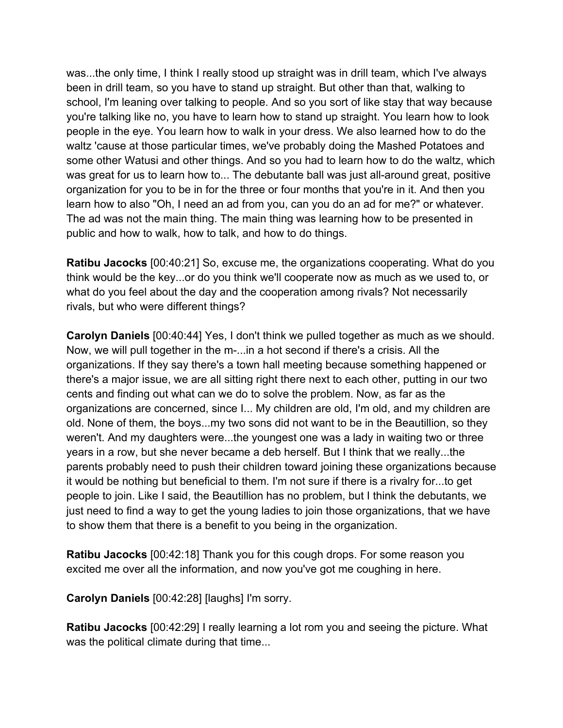was...the only time, I think I really stood up straight was in drill team, which I've always been in drill team, so you have to stand up straight. But other than that, walking to school, I'm leaning over talking to people. And so you sort of like stay that way because you're talking like no, you have to learn how to stand up straight. You learn how to look people in the eye. You learn how to walk in your dress. We also learned how to do the waltz 'cause at those particular times, we've probably doing the Mashed Potatoes and some other Watusi and other things. And so you had to learn how to do the waltz, which was great for us to learn how to... The debutante ball was just all-around great, positive organization for you to be in for the three or four months that you're in it. And then you learn how to also "Oh, I need an ad from you, can you do an ad for me?" or whatever. The ad was not the main thing. The main thing was learning how to be presented in public and how to walk, how to talk, and how to do things.

**Ratibu Jacocks** [00:40:21] So, excuse me, the organizations cooperating. What do you think would be the key...or do you think we'll cooperate now as much as we used to, or what do you feel about the day and the cooperation among rivals? Not necessarily rivals, but who were different things?

**Carolyn Daniels** [00:40:44] Yes, I don't think we pulled together as much as we should. Now, we will pull together in the m-...in a hot second if there's a crisis. All the organizations. If they say there's a town hall meeting because something happened or there's a major issue, we are all sitting right there next to each other, putting in our two cents and finding out what can we do to solve the problem. Now, as far as the organizations are concerned, since I... My children are old, I'm old, and my children are old. None of them, the boys...my two sons did not want to be in the Beautillion, so they weren't. And my daughters were...the youngest one was a lady in waiting two or three years in a row, but she never became a deb herself. But I think that we really...the parents probably need to push their children toward joining these organizations because it would be nothing but beneficial to them. I'm not sure if there is a rivalry for...to get people to join. Like I said, the Beautillion has no problem, but I think the debutants, we just need to find a way to get the young ladies to join those organizations, that we have to show them that there is a benefit to you being in the organization.

**Ratibu Jacocks** [00:42:18] Thank you for this cough drops. For some reason you excited me over all the information, and now you've got me coughing in here.

**Carolyn Daniels** [00:42:28] [laughs] I'm sorry.

**Ratibu Jacocks** [00:42:29] I really learning a lot rom you and seeing the picture. What was the political climate during that time...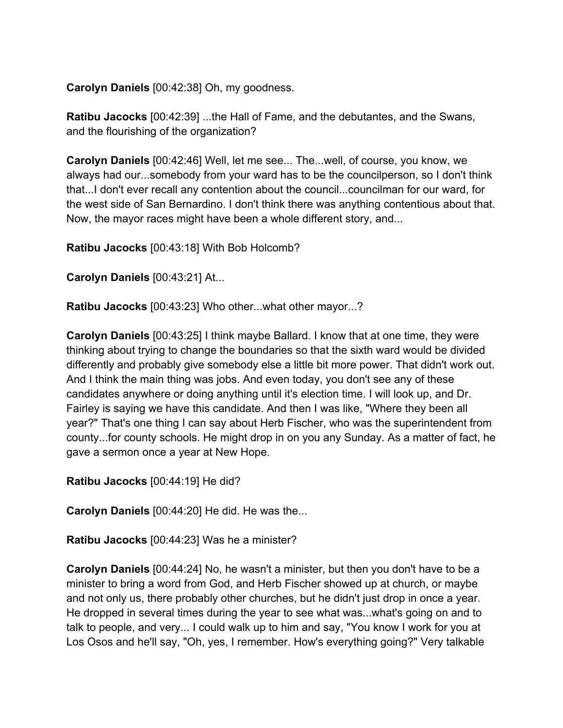**Carolyn Daniels** [00:42:38] Oh, my goodness.

**Ratibu Jacocks** [00:42:39] ...the Hall of Fame, and the debutantes, and the Swans, and the flourishing of the organization?

**Carolyn Daniels** [00:42:46] Well, let me see... The...well, of course, you know, we always had our...somebody from your ward has to be the councilperson, so I don't think that...I don't ever recall any contention about the council...councilman for our ward, for the west side of San Bernardino. I don't think there was anything contentious about that. Now, the mayor races might have been a whole different story, and...

**Ratibu Jacocks** [00:43:18] With Bob Holcomb?

**Carolyn Daniels** [00:43:21] At...

**Ratibu Jacocks** [00:43:23] Who other...what other mayor...?

**Carolyn Daniels** [00:43:25] I think maybe Ballard. I know that at one time, they were thinking about trying to change the boundaries so that the sixth ward would be divided differently and probably give somebody else a little bit more power. That didn't work out. And I think the main thing was jobs. And even today, you don't see any of these candidates anywhere or doing anything until it's election time. I will look up, and Dr. Fairley is saying we have this candidate. And then I was like, "Where they been all year?" That's one thing I can say about Herb Fischer, who was the superintendent from county...for county schools. He might drop in on you any Sunday. As a matter of fact, he gave a sermon once a year at New Hope.

**Ratibu Jacocks** [00:44:19] He did?

**Carolyn Daniels** [00:44:20] He did. He was the...

**Ratibu Jacocks** [00:44:23] Was he a minister?

**Carolyn Daniels** [00:44:24] No, he wasn't a minister, but then you don't have to be a minister to bring a word from God, and Herb Fischer showed up at church, or maybe and not only us, there probably other churches, but he didn't just drop in once a year. He dropped in several times during the year to see what was...what's going on and to talk to people, and very... I could walk up to him and say, "You know I work for you at Los Osos and he'll say, "Oh, yes, I remember. How's everything going?" Very talkable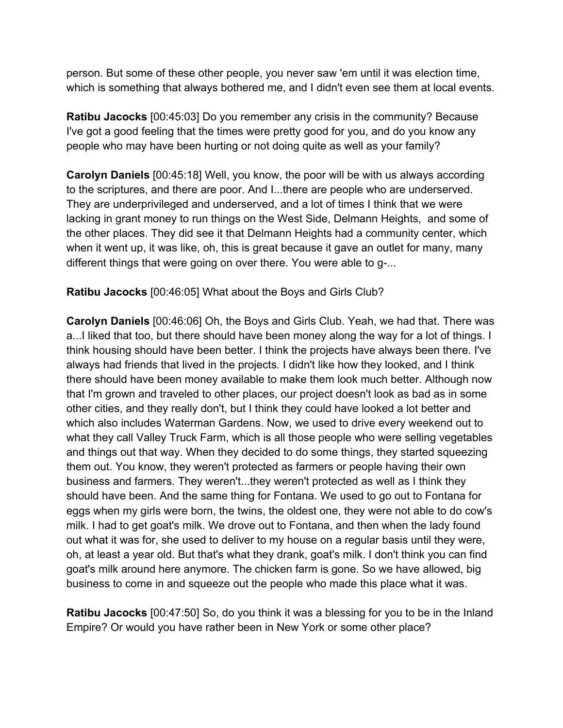person. But some of these other people, you never saw 'em until it was election time, which is something that always bothered me, and I didn't even see them at local events.

**Ratibu Jacocks** [00:45:03] Do you remember any crisis in the community? Because I've got a good feeling that the times were pretty good for you, and do you know any people who may have been hurting or not doing quite as well as your family?

**Carolyn Daniels** [00:45:18] Well, you know, the poor will be with us always according to the scriptures, and there are poor. And I...there are people who are underserved. They are underprivileged and underserved, and a lot of times I think that we were lacking in grant money to run things on the West Side, Delmann Heights, and some of the other places. They did see it that Delmann Heights had a community center, which when it went up, it was like, oh, this is great because it gave an outlet for many, many different things that were going on over there. You were able to g-...

**Ratibu Jacocks** [00:46:05] What about the Boys and Girls Club?

**Carolyn Daniels** [00:46:06] Oh, the Boys and Girls Club. Yeah, we had that. There was a...I liked that too, but there should have been money along the way for a lot of things. I think housing should have been better. I think the projects have always been there. I've always had friends that lived in the projects. I didn't like how they looked, and I think there should have been money available to make them look much better. Although now that I'm grown and traveled to other places, our project doesn't look as bad as in some other cities, and they really don't, but I think they could have looked a lot better and which also includes Waterman Gardens. Now, we used to drive every weekend out to what they call Valley Truck Farm, which is all those people who were selling vegetables and things out that way. When they decided to do some things, they started squeezing them out. You know, they weren't protected as farmers or people having their own business and farmers. They weren't...they weren't protected as well as I think they should have been. And the same thing for Fontana. We used to go out to Fontana for eggs when my girls were born, the twins, the oldest one, they were not able to do cow's milk. I had to get goat's milk. We drove out to Fontana, and then when the lady found out what it was for, she used to deliver to my house on a regular basis until they were, oh, at least a year old. But that's what they drank, goat's milk. I don't think you can find goat's milk around here anymore. The chicken farm is gone. So we have allowed, big business to come in and squeeze out the people who made this place what it was.

**Ratibu Jacocks** [00:47:50] So, do you think it was a blessing for you to be in the Inland Empire? Or would you have rather been in New York or some other place?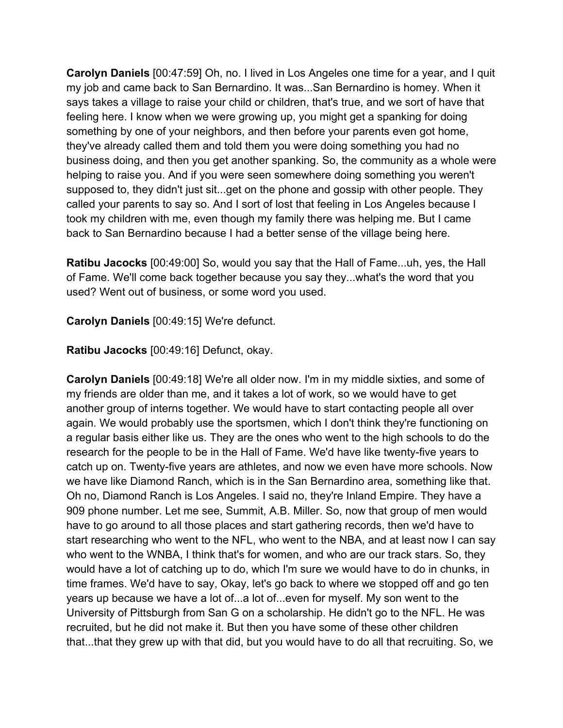**Carolyn Daniels** [00:47:59] Oh, no. I lived in Los Angeles one time for a year, and I quit my job and came back to San Bernardino. It was...San Bernardino is homey. When it says takes a village to raise your child or children, that's true, and we sort of have that feeling here. I know when we were growing up, you might get a spanking for doing something by one of your neighbors, and then before your parents even got home, they've already called them and told them you were doing something you had no business doing, and then you get another spanking. So, the community as a whole were helping to raise you. And if you were seen somewhere doing something you weren't supposed to, they didn't just sit...get on the phone and gossip with other people. They called your parents to say so. And I sort of lost that feeling in Los Angeles because I took my children with me, even though my family there was helping me. But I came back to San Bernardino because I had a better sense of the village being here.

**Ratibu Jacocks** [00:49:00] So, would you say that the Hall of Fame...uh, yes, the Hall of Fame. We'll come back together because you say they...what's the word that you used? Went out of business, or some word you used.

**Carolyn Daniels** [00:49:15] We're defunct.

**Ratibu Jacocks** [00:49:16] Defunct, okay.

**Carolyn Daniels** [00:49:18] We're all older now. I'm in my middle sixties, and some of my friends are older than me, and it takes a lot of work, so we would have to get another group of interns together. We would have to start contacting people all over again. We would probably use the sportsmen, which I don't think they're functioning on a regular basis either like us. They are the ones who went to the high schools to do the research for the people to be in the Hall of Fame. We'd have like twenty-five years to catch up on. Twenty-five years are athletes, and now we even have more schools. Now we have like Diamond Ranch, which is in the San Bernardino area, something like that. Oh no, Diamond Ranch is Los Angeles. I said no, they're Inland Empire. They have a 909 phone number. Let me see, Summit, A.B. Miller. So, now that group of men would have to go around to all those places and start gathering records, then we'd have to start researching who went to the NFL, who went to the NBA, and at least now I can say who went to the WNBA, I think that's for women, and who are our track stars. So, they would have a lot of catching up to do, which I'm sure we would have to do in chunks, in time frames. We'd have to say, Okay, let's go back to where we stopped off and go ten years up because we have a lot of...a lot of...even for myself. My son went to the University of Pittsburgh from San G on a scholarship. He didn't go to the NFL. He was recruited, but he did not make it. But then you have some of these other children that...that they grew up with that did, but you would have to do all that recruiting. So, we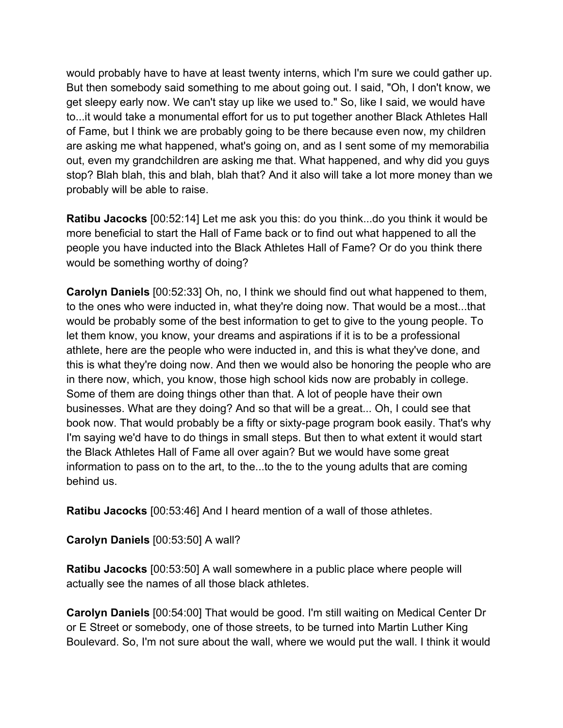would probably have to have at least twenty interns, which I'm sure we could gather up. But then somebody said something to me about going out. I said, "Oh, I don't know, we get sleepy early now. We can't stay up like we used to." So, like I said, we would have to...it would take a monumental effort for us to put together another Black Athletes Hall of Fame, but I think we are probably going to be there because even now, my children are asking me what happened, what's going on, and as I sent some of my memorabilia out, even my grandchildren are asking me that. What happened, and why did you guys stop? Blah blah, this and blah, blah that? And it also will take a lot more money than we probably will be able to raise.

**Ratibu Jacocks** [00:52:14] Let me ask you this: do you think...do you think it would be more beneficial to start the Hall of Fame back or to find out what happened to all the people you have inducted into the Black Athletes Hall of Fame? Or do you think there would be something worthy of doing?

**Carolyn Daniels** [00:52:33] Oh, no, I think we should find out what happened to them, to the ones who were inducted in, what they're doing now. That would be a most...that would be probably some of the best information to get to give to the young people. To let them know, you know, your dreams and aspirations if it is to be a professional athlete, here are the people who were inducted in, and this is what they've done, and this is what they're doing now. And then we would also be honoring the people who are in there now, which, you know, those high school kids now are probably in college. Some of them are doing things other than that. A lot of people have their own businesses. What are they doing? And so that will be a great... Oh, I could see that book now. That would probably be a fifty or sixty-page program book easily. That's why I'm saying we'd have to do things in small steps. But then to what extent it would start the Black Athletes Hall of Fame all over again? But we would have some great information to pass on to the art, to the...to the to the young adults that are coming behind us.

**Ratibu Jacocks** [00:53:46] And I heard mention of a wall of those athletes.

**Carolyn Daniels** [00:53:50] A wall?

**Ratibu Jacocks** [00:53:50] A wall somewhere in a public place where people will actually see the names of all those black athletes.

**Carolyn Daniels** [00:54:00] That would be good. I'm still waiting on Medical Center Dr or E Street or somebody, one of those streets, to be turned into Martin Luther King Boulevard. So, I'm not sure about the wall, where we would put the wall. I think it would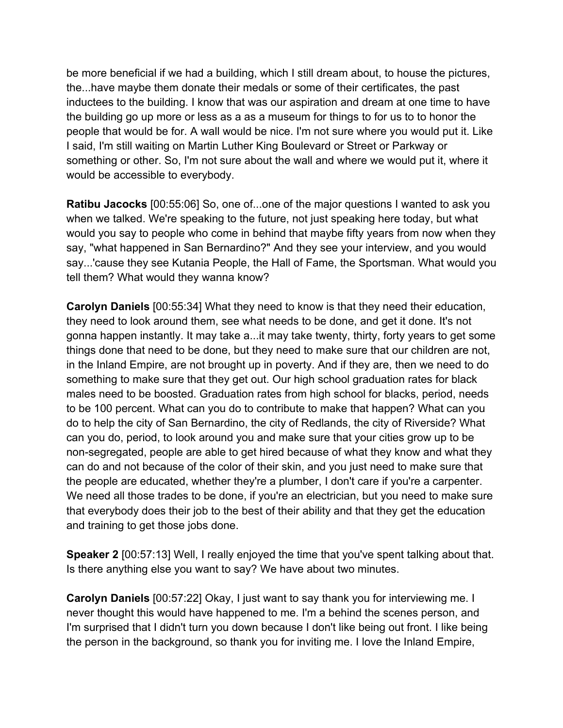be more beneficial if we had a building, which I still dream about, to house the pictures, the...have maybe them donate their medals or some of their certificates, the past inductees to the building. I know that was our aspiration and dream at one time to have the building go up more or less as a as a museum for things to for us to to honor the people that would be for. A wall would be nice. I'm not sure where you would put it. Like I said, I'm still waiting on Martin Luther King Boulevard or Street or Parkway or something or other. So, I'm not sure about the wall and where we would put it, where it would be accessible to everybody.

**Ratibu Jacocks** [00:55:06] So, one of...one of the major questions I wanted to ask you when we talked. We're speaking to the future, not just speaking here today, but what would you say to people who come in behind that maybe fifty years from now when they say, "what happened in San Bernardino?" And they see your interview, and you would say...'cause they see Kutania People, the Hall of Fame, the Sportsman. What would you tell them? What would they wanna know?

**Carolyn Daniels** [00:55:34] What they need to know is that they need their education, they need to look around them, see what needs to be done, and get it done. It's not gonna happen instantly. It may take a...it may take twenty, thirty, forty years to get some things done that need to be done, but they need to make sure that our children are not, in the Inland Empire, are not brought up in poverty. And if they are, then we need to do something to make sure that they get out. Our high school graduation rates for black males need to be boosted. Graduation rates from high school for blacks, period, needs to be 100 percent. What can you do to contribute to make that happen? What can you do to help the city of San Bernardino, the city of Redlands, the city of Riverside? What can you do, period, to look around you and make sure that your cities grow up to be non-segregated, people are able to get hired because of what they know and what they can do and not because of the color of their skin, and you just need to make sure that the people are educated, whether they're a plumber, I don't care if you're a carpenter. We need all those trades to be done, if you're an electrician, but you need to make sure that everybody does their job to the best of their ability and that they get the education and training to get those jobs done.

**Speaker 2** [00:57:13] Well, I really enjoyed the time that you've spent talking about that. Is there anything else you want to say? We have about two minutes.

**Carolyn Daniels** [00:57:22] Okay, I just want to say thank you for interviewing me. I never thought this would have happened to me. I'm a behind the scenes person, and I'm surprised that I didn't turn you down because I don't like being out front. I like being the person in the background, so thank you for inviting me. I love the Inland Empire,